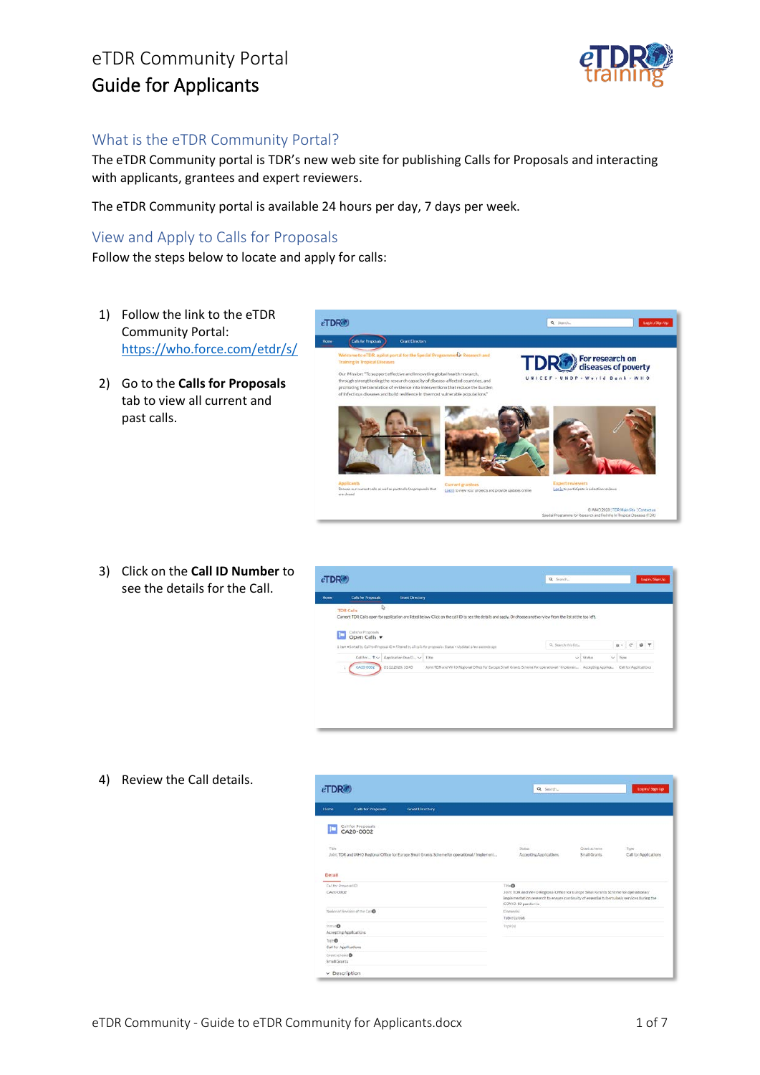

#### What is the eTDR Community Portal?

The eTDR Community portal is TDR's new web site for publishing Calls for Proposals and interacting with applicants, grantees and expert reviewers.

ch capacity of disease affect<br>ence into interventions that

The eTDR Community portal is available 24 hours per day, 7 days per week.

 $eTDR$ 

#### View and Apply to Calls for Proposals

Follow the steps below to locate and apply for calls:

- 1) Follow the link to the eTDR Community Portal: <https://who.force.com/etdr/s/>
- 2) Go to the **Calls for Proposals** tab to view all current and past calls.





**R** 

DR

For research on<br>diseases of poverty

World Bank

4) Review the Call details.

| $e$ TDR $\bullet$                          |                                            |                                                                                              | Q Search                                                                                                                                                                                                                    |                              | Logiki / Sign Up                                 |
|--------------------------------------------|--------------------------------------------|----------------------------------------------------------------------------------------------|-----------------------------------------------------------------------------------------------------------------------------------------------------------------------------------------------------------------------------|------------------------------|--------------------------------------------------|
| Home                                       | <b>Calls for Proposals</b>                 | Grant Directory                                                                              |                                                                                                                                                                                                                             |                              |                                                  |
|                                            | Call for Proposals<br>CA20-0002            |                                                                                              |                                                                                                                                                                                                                             |                              |                                                  |
| Title<br>Detail                            |                                            | Joint TDR and WHO Regional Office for Europe Small Grants Scheme for operational / Implement | 1502641<br>Accepting Applications                                                                                                                                                                                           | Grant scheme<br>Small Grants | <b>Control</b><br>Type.<br>Call for Applications |
|                                            |                                            |                                                                                              |                                                                                                                                                                                                                             |                              |                                                  |
|                                            |                                            |                                                                                              |                                                                                                                                                                                                                             |                              |                                                  |
| Califor Proposal ID<br>CA20 0002           |                                            |                                                                                              | Title <sup>O</sup><br>Joint TDR and WHO Regional Office for Europe Small Grants Scheme for operational./<br>implementation research to ensure continuity of essential tuberculosis services during the<br>COVID-19 pandemic |                              |                                                  |
|                                            | National Revision of the Call <sup>o</sup> |                                                                                              | Danaseric)<br>Tuberculosis                                                                                                                                                                                                  |                              |                                                  |
| <b>Status®</b>                             | Accepting Applications                     |                                                                                              | Topicio                                                                                                                                                                                                                     |                              |                                                  |
| Type <sup>®</sup><br>Call for Applications |                                            |                                                                                              |                                                                                                                                                                                                                             |                              |                                                  |
| Contactent <sup>O</sup><br>Small Grants    |                                            |                                                                                              |                                                                                                                                                                                                                             |                              |                                                  |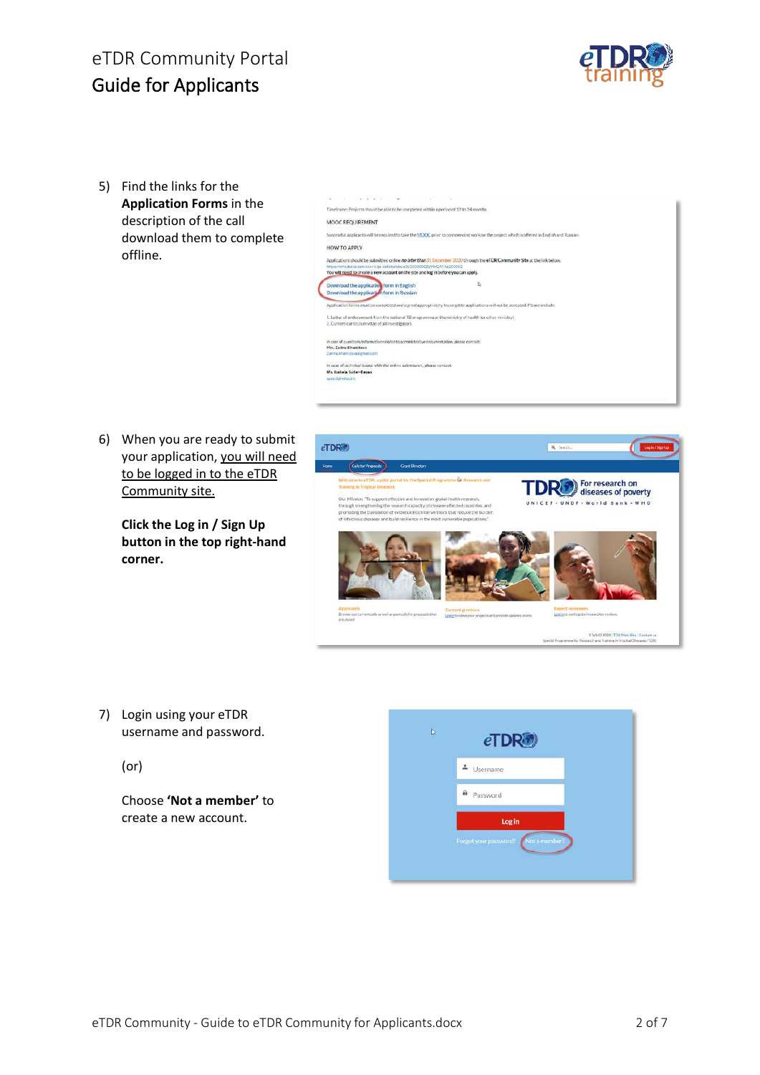

5) Find the links for the **Application Forms** in the description of the call download them to complete offline.

| Timeframe: Projects should be able to be completed within a period of 12 to 24 months.                                                                         |                                                                                                                                          |  |
|----------------------------------------------------------------------------------------------------------------------------------------------------------------|------------------------------------------------------------------------------------------------------------------------------------------|--|
| MOOC REQUIREMENT                                                                                                                                               |                                                                                                                                          |  |
|                                                                                                                                                                | Successful applicants will be required to take the MOOC prior to commencing work on the project which is offered in English and Russian. |  |
| HOW TO APPLY                                                                                                                                                   |                                                                                                                                          |  |
| https://who.force.com/stdr/s.las-solicitation/a0s3X00000ZpYNQAF/ca200002<br>You will need to create a new account on the site and log in before you can apply. | Applications should be submitted online no later than 31 December 2020 through the eTDR Community Site at the link below.                |  |
| Download the application form in English<br>Download the application form in Russian                                                                           | D                                                                                                                                        |  |
|                                                                                                                                                                | Application forms must be completed and signed appropriately, Incomplete applications will not be accepted. Please include:              |  |
| 1. Letter of endorsement from the national TB programme or the ministry of health (or other ministry)<br>2. Current curriculum vitae of all investigators.     |                                                                                                                                          |  |
| In case of questions/information related to administrative documentation, please contact:<br>Mrs. Zarina Khamitova<br>Zarina.khamitovacegmall.com              |                                                                                                                                          |  |
| in case of technical issues with the online submission, please contact:<br>Ms. Izabela Suder-Davan                                                             |                                                                                                                                          |  |
| tuderid who int                                                                                                                                                |                                                                                                                                          |  |

6) When you are ready to submit your application, you will need to be logged in to the eTDR Community site.

> **Click the Log in / Sign Up button in the top right-hand corner.**



- 7) Login using your eTDR username and password.
	- (or)

Choose **'Not a member'** to create a new account.

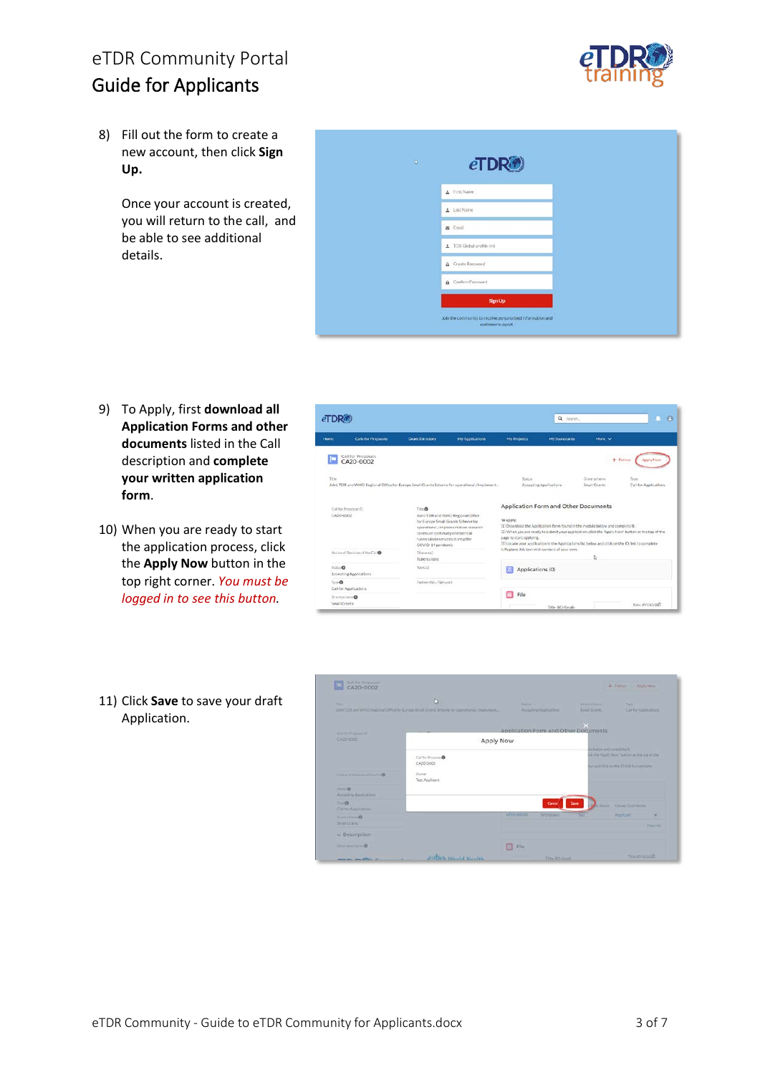

8) Fill out the form to create a new account, then click **Sign Up.**

> Once your account is created, you will return to the call, and be able to see additional details.

| $\mathbf{D}$<br>a s | eTDR                                                                            |  |
|---------------------|---------------------------------------------------------------------------------|--|
|                     | A First Name                                                                    |  |
|                     | A Last Name                                                                     |  |
|                     | a Email                                                                         |  |
|                     | TDR Global profile link                                                         |  |
|                     | & Create Password                                                               |  |
|                     | <b>B</b> Confirm Password                                                       |  |
|                     | <b>Sign Up</b>                                                                  |  |
|                     | Join the community to receive personalized information and<br>customer support. |  |

- 9) To Apply, first **download all Application Forms and other documents** listed in the Call description and **complete your written application form**.
- 10) When you are ready to start the application process, click the **Apply Now** button in the top right corner. *You must be logged in to see this button.*
- 11) Click **Save** to save your draft Application.



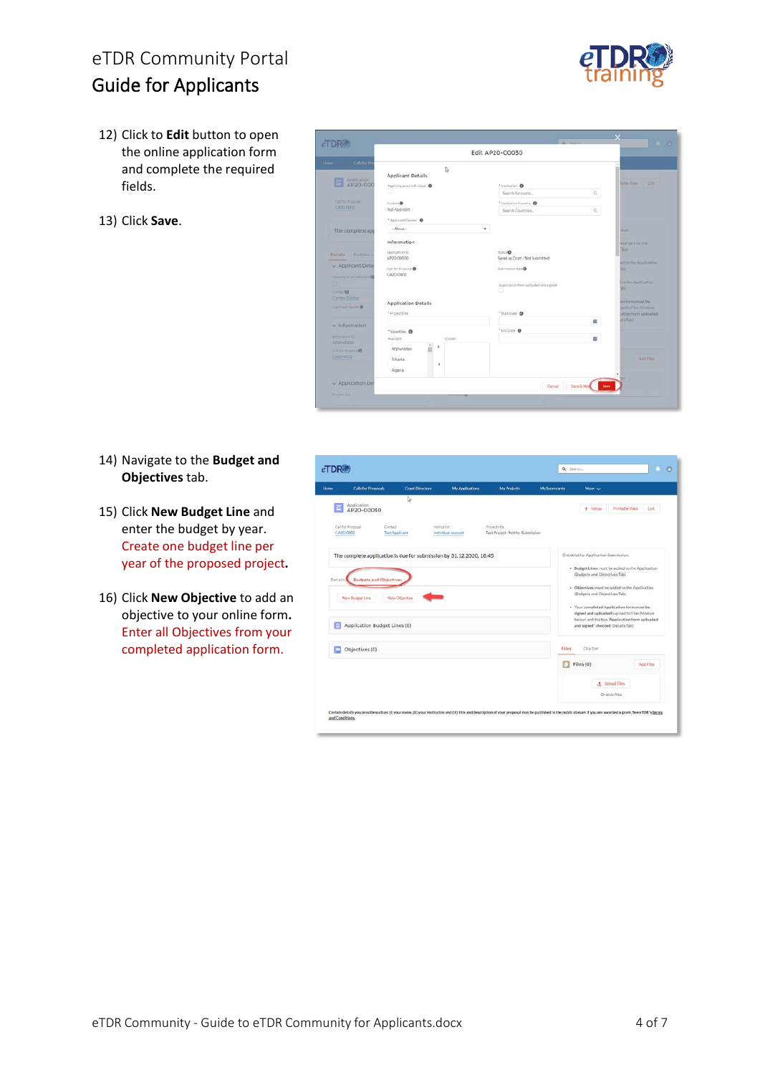

- 12) Click to **Edit** button to open the online application form and complete the required fields.
- 13) Click **Save**.

| <b>eTDR®</b>                                         |                                                                    |                                                                            | $-2$                                                                        |  |  |
|------------------------------------------------------|--------------------------------------------------------------------|----------------------------------------------------------------------------|-----------------------------------------------------------------------------|--|--|
|                                                      |                                                                    | Edit AP20-00030                                                            |                                                                             |  |  |
| Calls for Pt<br>AP20-000<br><b>DOT</b>               | l)<br><b>Applicant Dotails</b><br>Applying as an individual @      | "Institution <sup>0</sup><br>$\Omega$<br>Search Accounts                   | <b>Earlie Mann</b><br><b>TEST</b>                                           |  |  |
| CATTLE POWDER<br>EA30-0002                           | Contact®<br>Test Applicant                                         | <sup>*</sup> Institution Country<br>$\alpha$<br>Search Countries           |                                                                             |  |  |
| The complete app                                     | * Applicant Cender O<br>$-Mooon$                                   |                                                                            | <b>Blond</b>                                                                |  |  |
| <b>Distalla</b><br>Endgwis.<br>$\sim$ Applicant Deta | Information<br>Application ID<br>AP20-00030<br>Call for Properties | Skitun®<br>Saved as Draft / Not Submitted<br>Saberiation date <sup>O</sup> | eitered litty the<br><b>Tick</b><br>ed to the Application<br><b>Vid</b>     |  |  |
| Approved by primarilla and<br>$C = 0$                | CA20-0002                                                          | Application form uploaded and signed                                       | to the Apollestium<br>abl.                                                  |  |  |
| Carmen Dunham<br>Acolinant Semini O                  | Application Details<br>*Projectsitle                               | "StartDute O                                                               | on form must be<br>and to Filmi Modern<br>sition form uploaded<br>Als Talls |  |  |
| $\vee$ Information<br>Accounter, IU.                 | "Countries O<br>Austsble<br>Chooses                                | 首<br>"DiciDate O<br>a                                                      |                                                                             |  |  |
| AP20-00030<br>Call for Products 10<br>EA26-0002      | ٠<br>Afghanistan<br>Abaria<br>٠<br>Algeria                         |                                                                            | Addition                                                                    |  |  |
| v Application De<br><b>Promotions</b>                |                                                                    | Save & New Street<br>Cancel                                                |                                                                             |  |  |

- 14) Navigate to the **Budget and Objectives** tab.
- 15) Click **New Budget Line** and enter the budget by year. Create one budget line per year of the proposed project**.**
- 16) Click **New Objective** to add an objective to your online form**.**  Enter all Objectives from your completed application form.

|           | <b>Calls for Proposals</b>                      | <b>Crant Directory</b>                                              | My Applications                          | My Projects                                        | My Scorecards | More w                                                                                                                                                                                                                                                          |                        |
|-----------|-------------------------------------------------|---------------------------------------------------------------------|------------------------------------------|----------------------------------------------------|---------------|-----------------------------------------------------------------------------------------------------------------------------------------------------------------------------------------------------------------------------------------------------------------|------------------------|
|           | <b>Application</b><br>AP20-00030                | ₿                                                                   |                                          |                                                    |               | $+$ Follow                                                                                                                                                                                                                                                      | Printable View<br>Edit |
| CA20-0002 | Call for Program!                               | Contact<br>Test Applicant                                           | <b>Institution</b><br>individual account | Project title<br>Test Project - Not for Submission |               |                                                                                                                                                                                                                                                                 |                        |
| Details   | <b>Budgets and Objectives</b>                   | The complete application is due for submission by 31.12.2020, 18:45 |                                          |                                                    |               | Checklist for Application Submission:<br>. Budget Lines must be added to the Application<br>(Budgets and Objectives Tab)                                                                                                                                        |                        |
|           | New Budget Line<br>Application Budget Lines (0) | New Objective                                                       |                                          |                                                    |               | - Objectives must be added to the Application<br>(Budgets and Objectives Tabi<br>· Your completed Application form must be<br>signed and uploaded (upload to Files Module<br>below) and the box 'Application form uploaded<br>and signed' checked (Details Tab) |                        |
|           | Objectives (0)                                  |                                                                     |                                          |                                                    | Files         | Chatter                                                                                                                                                                                                                                                         |                        |
| м<br>o    |                                                 |                                                                     |                                          |                                                    |               | Files (O)                                                                                                                                                                                                                                                       | Add Files              |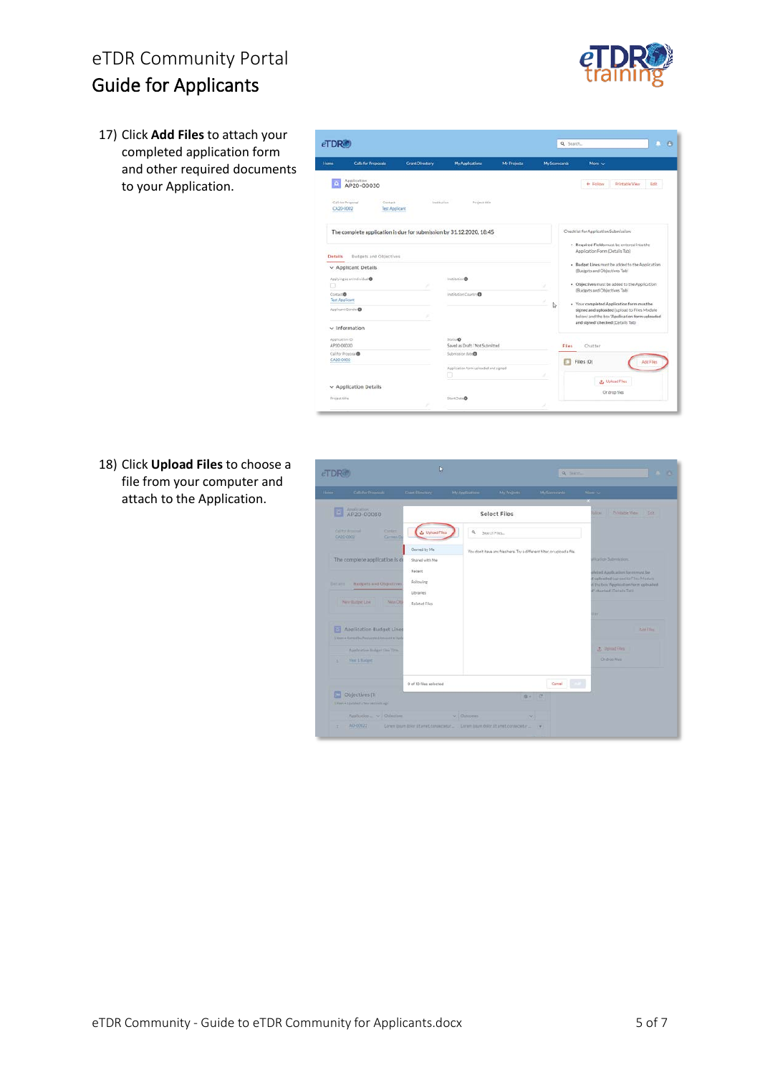17) Click **Add Files** to attach your completed application form and other required documents to your Application.



18) Click **Upload Files** to choose a file from your computer and attach to the Application.



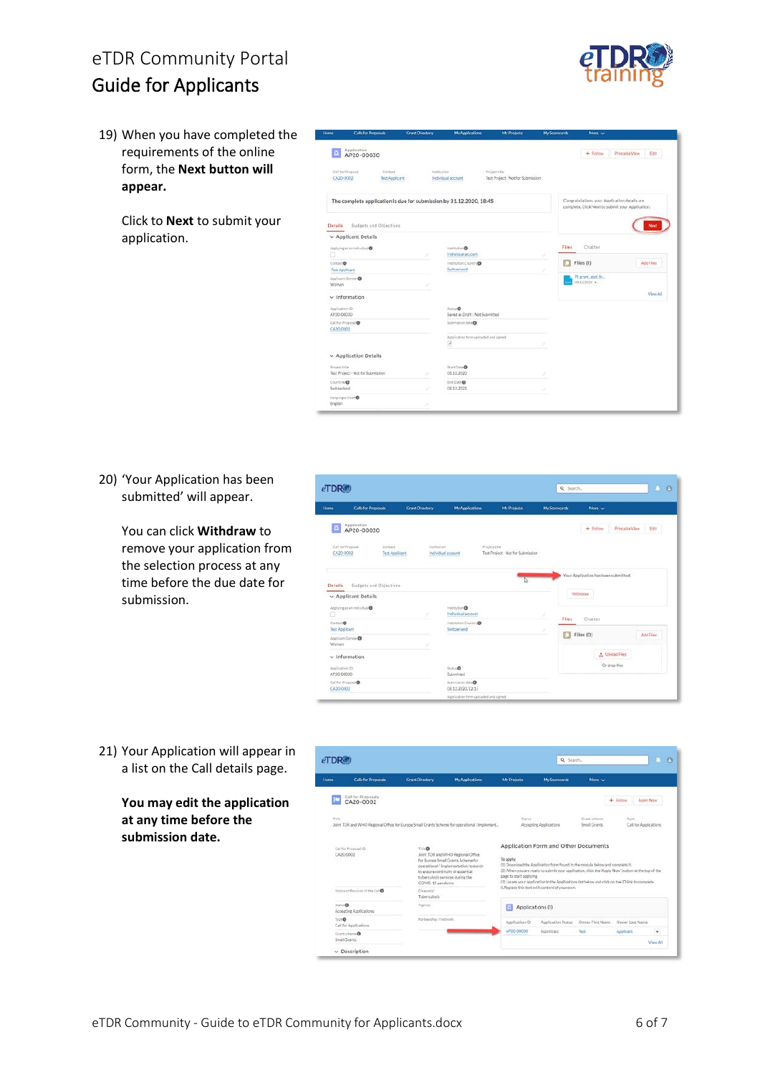19) When you have completed the requirements of the online form, the **Next button will appear.**

> Click to **Next** to submit your application.



20) 'Your Application has been submitted' will appear.

> You can click **Withdraw** to remove your application from the selection process at any time before the due date for submission.



21) Your Application will appear in a list on the Call details page.

> **You may edit the application at any time before the submission date.**